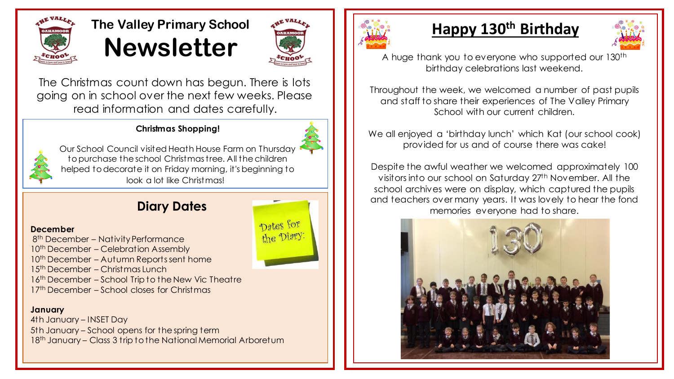

# **The Valley Primary School Newsletter**



Dates for the Diary

The Christmas count down has begun. There is lots going on in school over the next few weeks. Please read information and dates carefully.

### **Christmas Shopping!**



Our School Council visited Heath House Farm on Thursday to purchase the school Christmas tree. All the children helped to decorate it on Friday morning, it's beginning to look a lot like Christmas!

### **Diary Dates**

#### **December**

8<sup>th</sup> December - Nativity Performance 10<sup>th</sup> December – Celebration Assembly 10<sup>th</sup> December – Autumn Reports sent home 15th December – Christmas Lunch 16<sup>th</sup> December – School Trip to the New Vic Theatre 17<sup>th</sup> December – School closes for Christmas

#### **January**

4th January – INSET Day 5th January – School opens for the spring term 18<sup>th</sup> January – Class 3 trip to the National Memorial Arboretum



# **Happy 130th Birthday**



A huge thank you to everyone who supported our 130th birthday celebrations last weekend.

Throughout the week, we welcomed a number of past pupils and staff to share their experiences of The Valley Primary School with our current children.

We all enjoyed a 'birthday lunch' which Kat (our school cook) provided for us and of course there was cake!

Despite the awful weather we welcomed approximately 100 visitors into our school on Saturday 27<sup>th</sup> November. All the school archives were on display, which captured the pupils and teachers over many years. It was lovely to hear the fond memories everyone had to share.